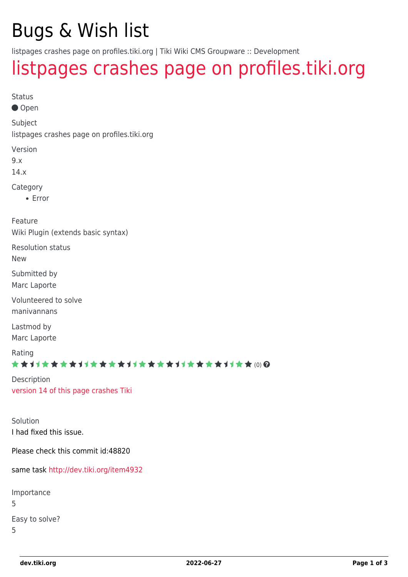## Bugs & Wish list

listpages crashes page on profiles.tiki.org | Tiki Wiki CMS Groupware :: Development

## [listpages crashes page on profiles.tiki.org](https://dev.tiki.org/item4887-listpages-crashes-page-on-profiles-tiki-org)

```
Status
```
● Open

Subject

listpages crashes page on profiles.tiki.org

Version

9.x

14.x

Category

• Error

Feature Wiki Plugin (extends basic syntax)

Resolution status

New

Submitted by

Marc Laporte

Volunteered to solve manivannans

Lastmod by Marc Laporte

Rating

★★11★★★★11★★★★11★★★★11★★★★11★★ @@

Description [version 14 of this page crashes Tiki](https://profiles.tiki.org/tiki-pagehistory.php?page=Admin&history_offset=1&diff_style=sidediff&show_all_versions=y&compare=Compare&newver=0&oldver=13&paginate=on&history_pagesize=25&source=14)

Solution I had fixed this issue.

Please check this commit id:48820

same task<http://dev.tiki.org/item4932>

Importance 5 Easy to solve? 5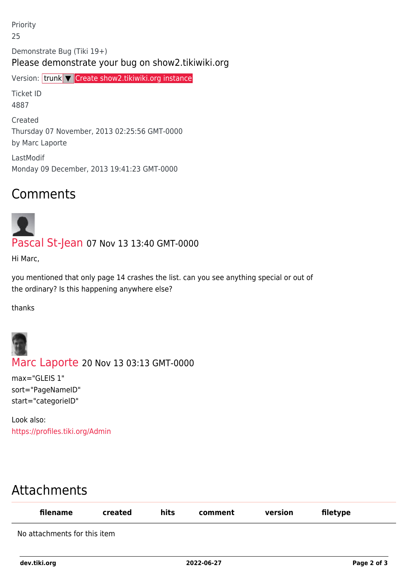Priority 25 Demonstrate Bug (Tiki 19+) Please demonstrate your bug on show2.tikiwiki.org Version: trunk ▼ [Create show2.tikiwiki.org instance](#page--1-0) Ticket ID 4887 Created Thursday 07 November, 2013 02:25:56 GMT-0000 by Marc Laporte LastModif Monday 09 December, 2013 19:41:23 GMT-0000

## Comments



[Pascal St-Jean](https://dev.tiki.org/user10536) 07 Nov 13 13:40 GMT-0000

Hi Marc,

you mentioned that only page 14 crashes the list. can you see anything special or out of the ordinary? Is this happening anywhere else?

thanks



[Marc Laporte](https://dev.tiki.org/user11197) 20 Nov 13 03:13 GMT-0000

max="GLEIS 1" sort="PageNameID" start="categorieID"

Look also: <https://profiles.tiki.org/Admin>

## Attachments

| filename                     | created | hits | comment | version | filetype |
|------------------------------|---------|------|---------|---------|----------|
| No attachments for this item |         |      |         |         |          |